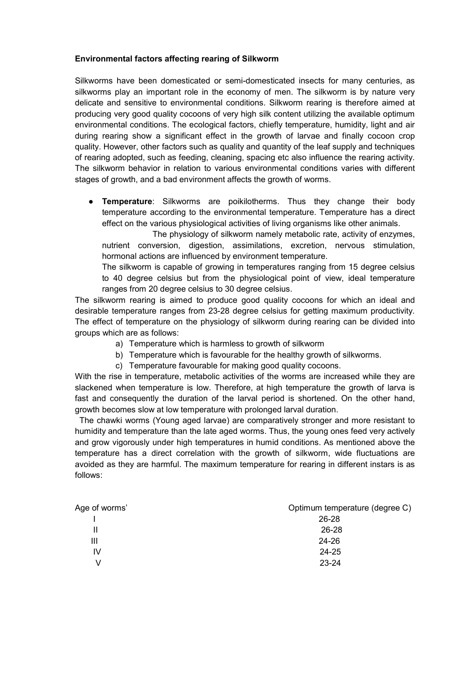## **Environmental factors affecting rearing of Silkworm**

Silkworms have been domesticated or semi-domesticated insects for many centuries, as silkworms play an important role in the economy of men. The silkworm is by nature very delicate and sensitive to environmental conditions. Silkworm rearing is therefore aimed at producing very good quality cocoons of very high silk content utilizing the available optimum environmental conditions. The ecological factors, chiefly temperature, humidity, light and air during rearing show a significant effect in the growth of larvae and finally cocoon crop quality. However, other factors such as quality and quantity of the leaf supply and techniques of rearing adopted, such as feeding, cleaning, spacing etc also influence the rearing activity. The silkworm behavior in relation to various environmental conditions varies with different stages of growth, and a bad environment affects the growth of worms.

● **Temperature**: Silkworms are poikilotherms. Thus they change their body temperature according to the environmental temperature. Temperature has a direct effect on the various physiological activities of living organisms like other animals.

 The physiology of silkworm namely metabolic rate, activity of enzymes, nutrient conversion, digestion, assimilations, excretion, nervous stimulation, hormonal actions are influenced by environment temperature.

The silkworm is capable of growing in temperatures ranging from 15 degree celsius to 40 degree celsius but from the physiological point of view, ideal temperature ranges from 20 degree celsius to 30 degree celsius.

The silkworm rearing is aimed to produce good quality cocoons for which an ideal and desirable temperature ranges from 23-28 degree celsius for getting maximum productivity. The effect of temperature on the physiology of silkworm during rearing can be divided into groups which are as follows:

- a) Temperature which is harmless to growth of silkworm
- b) Temperature which is favourable for the healthy growth of silkworms.
- c) Temperature favourable for making good quality cocoons.

With the rise in temperature, metabolic activities of the worms are increased while they are slackened when temperature is low. Therefore, at high temperature the growth of larva is fast and consequently the duration of the larval period is shortened. On the other hand, growth becomes slow at low temperature with prolonged larval duration.

 The chawki worms (Young aged larvae) are comparatively stronger and more resistant to humidity and temperature than the late aged worms. Thus, the young ones feed very actively and grow vigorously under high temperatures in humid conditions. As mentioned above the temperature has a direct correlation with the growth of silkworm, wide fluctuations are avoided as they are harmful. The maximum temperature for rearing in different instars is as follows:

| Age of worms' | Optimum temperature (degree C) |
|---------------|--------------------------------|
|               | 26-28                          |
| Ш             | 26-28                          |
| Ш             | 24-26                          |
| IV            | 24-25                          |
| V             | 23-24                          |
|               |                                |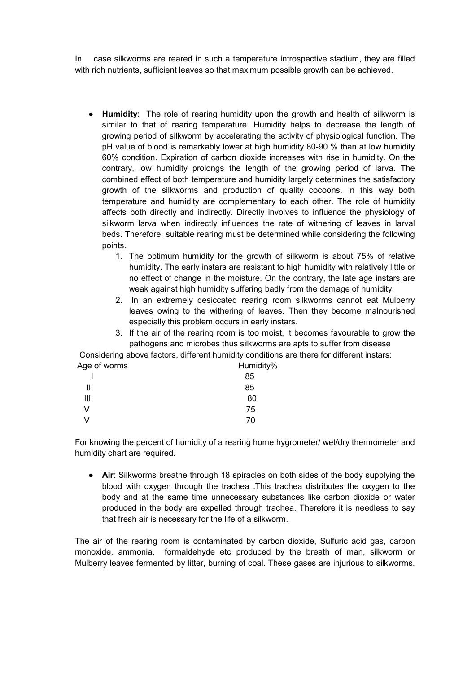In case silkworms are reared in such a temperature introspective stadium, they are filled with rich nutrients, sufficient leaves so that maximum possible growth can be achieved.

- **Humidity**: The role of rearing humidity upon the growth and health of silkworm is similar to that of rearing temperature. Humidity helps to decrease the length of growing period of silkworm by accelerating the activity of physiological function. The pH value of blood is remarkably lower at high humidity 80-90 % than at low humidity 60% condition. Expiration of carbon dioxide increases with rise in humidity. On the contrary, low humidity prolongs the length of the growing period of larva. The combined effect of both temperature and humidity largely determines the satisfactory growth of the silkworms and production of quality cocoons. In this way both temperature and humidity are complementary to each other. The role of humidity affects both directly and indirectly. Directly involves to influence the physiology of silkworm larva when indirectly influences the rate of withering of leaves in larval beds. Therefore, suitable rearing must be determined while considering the following points.
	- 1. The optimum humidity for the growth of silkworm is about 75% of relative humidity. The early instars are resistant to high humidity with relatively little or no effect of change in the moisture. On the contrary, the late age instars are weak against high humidity suffering badly from the damage of humidity.
	- 2. In an extremely desiccated rearing room silkworms cannot eat Mulberry leaves owing to the withering of leaves. Then they become malnourished especially this problem occurs in early instars.
	- 3. If the air of the rearing room is too moist, it becomes favourable to grow the pathogens and microbes thus silkworms are apts to suffer from disease

 Considering above factors, different humidity conditions are there for different instars: Age of worms **Humidity Humidity** 

|    | 85 |
|----|----|
| Ш  | 85 |
| Ш  | 80 |
| IV | 75 |
| V  | 70 |

For knowing the percent of humidity of a rearing home hygrometer/ wet/dry thermometer and humidity chart are required.

● **Air**: Silkworms breathe through 18 spiracles on both sides of the body supplying the blood with oxygen through the trachea .This trachea distributes the oxygen to the body and at the same time unnecessary substances like carbon dioxide or water produced in the body are expelled through trachea. Therefore it is needless to say that fresh air is necessary for the life of a silkworm.

The air of the rearing room is contaminated by carbon dioxide, Sulfuric acid gas, carbon monoxide, ammonia, formaldehyde etc produced by the breath of man, silkworm or Mulberry leaves fermented by litter, burning of coal. These gases are injurious to silkworms.